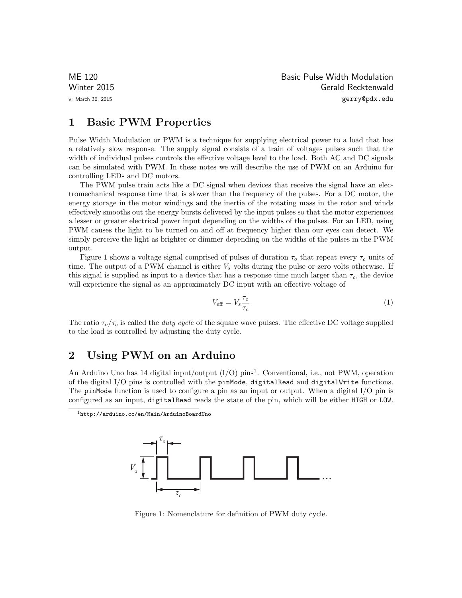ME 120 Basic Pulse Width Modulation Winter 2015 Gerald Recktenwald v: March 30, 2015 gerry@pdx.edu

## 1 Basic PWM Properties

Pulse Width Modulation or PWM is a technique for supplying electrical power to a load that has a relatively slow response. The supply signal consists of a train of voltages pulses such that the width of individual pulses controls the effective voltage level to the load. Both AC and DC signals can be simulated with PWM. In these notes we will describe the use of PWM on an Arduino for controlling LEDs and DC motors.

The PWM pulse train acts like a DC signal when devices that receive the signal have an electromechanical response time that is slower than the frequency of the pulses. For a DC motor, the energy storage in the motor windings and the inertia of the rotating mass in the rotor and winds effectively smooths out the energy bursts delivered by the input pulses so that the motor experiences a lesser or greater electrical power input depending on the widths of the pulses. For an LED, using PWM causes the light to be turned on and off at frequency higher than our eyes can detect. We simply perceive the light as brighter or dimmer depending on the widths of the pulses in the PWM output.

Figure 1 shows a voltage signal comprised of pulses of duration  $\tau_o$  that repeat every  $\tau_c$  units of time. The output of a PWM channel is either  $V_s$  volts during the pulse or zero volts otherwise. If this signal is supplied as input to a device that has a response time much larger than  $\tau_c$ , the device will experience the signal as an approximately DC input with an effective voltage of

$$
V_{\text{eff}} = V_s \frac{\tau_o}{\tau_c} \tag{1}
$$

The ratio  $\tau_o/\tau_c$  is called the *duty cycle* of the square wave pulses. The effective DC voltage supplied to the load is controlled by adjusting the duty cycle.

# 2 Using PWM on an Arduino

An Arduino Uno has 14 digital input/output (I/O) pins<sup>1</sup>. Conventional, i.e., not PWM, operation of the digital I/O pins is controlled with the pinMode, digitalRead and digitalWrite functions. The pinMode function is used to configure a pin as an input or output. When a digital I/O pin is configured as an input, digitalRead reads the state of the pin, which will be either HIGH or LOW.

<sup>1</sup>http://arduino.cc/en/Main/ArduinoBoardUno



Figure 1: Nomenclature for definition of PWM duty cycle.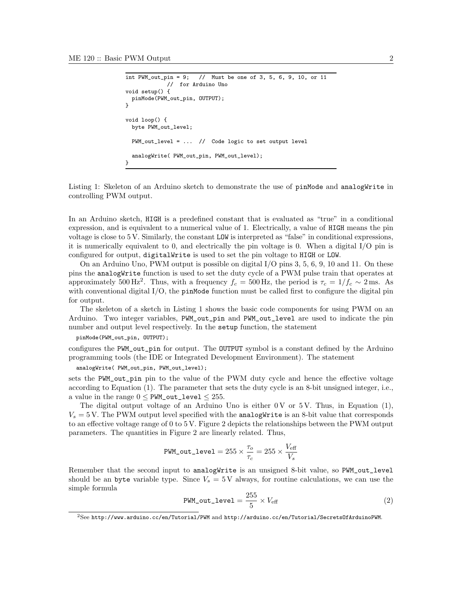```
int PWM_out_pin = 9; // Must be one of 3, 5, 6, 9, 10, or 11
             // for Arduino Uno
void setup() {
 pinMode(PWM_out_pin, OUTPUT);
}
void loop() {
  byte PWM_out_level;
  PWM_out_level = ... // Code logic to set output level
  analogWrite( PWM_out_pin, PWM_out_level);
}
```
Listing 1: Skeleton of an Arduino sketch to demonstrate the use of pinMode and analogWrite in controlling PWM output.

In an Arduino sketch, HIGH is a predefined constant that is evaluated as "true" in a conditional expression, and is equivalent to a numerical value of 1. Electrically, a value of HIGH means the pin voltage is close to 5 V. Similarly, the constant LOW is interpreted as "false" in conditional expressions, it is numerically equivalent to 0, and electrically the pin voltage is 0. When a digital I/O pin is configured for output, digitalWrite is used to set the pin voltage to HIGH or LOW.

On an Arduino Uno, PWM output is possible on digital I/O pins 3, 5, 6, 9, 10 and 11. On these pins the analogWrite function is used to set the duty cycle of a PWM pulse train that operates at approximately 500 Hz<sup>2</sup>. Thus, with a frequency  $f_c = 500$  Hz, the period is  $\tau_c = 1/f_c \sim 2$  ms. As with conventional digital  $I/O$ , the pinMode function must be called first to configure the digital pin for output.

The skeleton of a sketch in Listing 1 shows the basic code components for using PWM on an Arduino. Two integer variables, PWM\_out\_pin and PWM\_out\_level are used to indicate the pin number and output level respectively. In the setup function, the statement

pinMode(PWM\_out\_pin, OUTPUT);

configures the PWM\_out\_pin for output. The OUTPUT symbol is a constant defined by the Arduino programming tools (the IDE or Integrated Development Environment). The statement

analogWrite( PWM\_out\_pin, PWM\_out\_level);

sets the PWM\_out\_pin pin to the value of the PWM duty cycle and hence the effective voltage according to Equation (1). The parameter that sets the duty cycle is an 8-bit unsigned integer, i.e., a value in the range  $0 \leq$  PWM\_out\_level  $\leq$  255.

The digital output voltage of an Arduino Uno is either  $0 \text{V}$  or  $5 \text{V}$ . Thus, in Equation (1),  $V_s = 5$  V. The PWM output level specified with the analog Write is an 8-bit value that corresponds to an effective voltage range of 0 to 5 V. Figure 2 depicts the relationships between the PWM output parameters. The quantities in Figure 2 are linearly related. Thus,

$$
\text{PWM\_out\_level} = 255 \times \frac{\tau_o}{\tau_c} = 255 \times \frac{V_{\text{eff}}}{V_s}
$$

Remember that the second input to analogWrite is an unsigned 8-bit value, so PWM\_out\_level should be an byte variable type. Since  $V_s = 5$  V always, for routine calculations, we can use the simple formula

$$
PWM_{\text{out\_level}} = \frac{255}{5} \times V_{\text{eff}} \tag{2}
$$

<sup>2</sup>See http://www.arduino.cc/en/Tutorial/PWM and http://arduino.cc/en/Tutorial/SecretsOfArduinoPWM.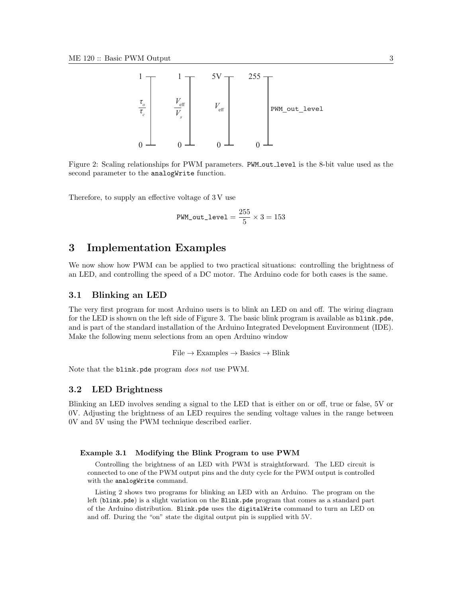

Figure 2: Scaling relationships for PWM parameters. PWM\_out\_level is the 8-bit value used as the second parameter to the analogWrite function.

Therefore, to supply an effective voltage of 3 V use

$$
\texttt{PWM\_out\_level} = \frac{255}{5} \times 3 = 153
$$

## 3 Implementation Examples

We now show how PWM can be applied to two practical situations: controlling the brightness of an LED, and controlling the speed of a DC motor. The Arduino code for both cases is the same.

### 3.1 Blinking an LED

The very first program for most Arduino users is to blink an LED on and off. The wiring diagram for the LED is shown on the left side of Figure 3. The basic blink program is available as **blink**.pde, and is part of the standard installation of the Arduino Integrated Development Environment (IDE). Make the following menu selections from an open Arduino window

 $File \rightarrow Examples \rightarrow Basis \rightarrow Blink$ 

Note that the blink.pde program does not use PWM.

#### 3.2 LED Brightness

Blinking an LED involves sending a signal to the LED that is either on or off, true or false, 5V or 0V. Adjusting the brightness of an LED requires the sending voltage values in the range between 0V and 5V using the PWM technique described earlier.

#### Example 3.1 Modifying the Blink Program to use PWM

Controlling the brightness of an LED with PWM is straightforward. The LED circuit is connected to one of the PWM output pins and the duty cycle for the PWM output is controlled with the analogWrite command.

Listing 2 shows two programs for blinking an LED with an Arduino. The program on the left (blink.pde) is a slight variation on the Blink.pde program that comes as a standard part of the Arduino distribution. Blink.pde uses the digitalWrite command to turn an LED on and off. During the "on" state the digital output pin is supplied with 5V.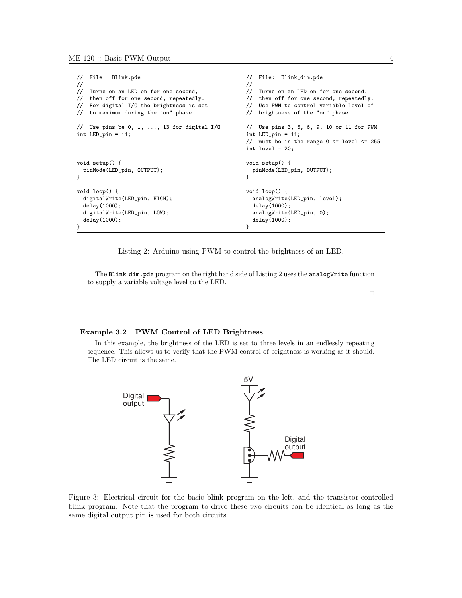```
// File: Blink.pde // File: Blink_dim.pde
// //
// Turns on an LED on for one second, <br>// Turns on an LED on for one second, repeatedly.<br>// then off for one second, repeatedly.
// then off for one second, repeatedly. <br>// For digital I/O the brightness is set // Use PWM to control variable level of
// For digital I/O the brightness is set
// to maximum during the "on" phase. \frac{1}{2} brightness of the "on" phase.
// Use pins be 0, 1, ..., 13 for digital I/O // Use pins 3, 5, 6, 9, 10 or 11 for PWM int LED_pin = 11; int LED_pin = 11;
                                              int LED_pin = 11;
                                              // must be in the range 0 \le level \le 255
                                              int level = 20;
void setup() { void setup() {
 pinMode(LED_pin, OUTPUT);<br> pinMode(LED_pin, OUTPUT);
} }
void loop() {<br>digitalWrite(LED_pin, HIGH);               analogWrite
                                               analogWrite(LED_pin, level);
 delay(1000);<br>digitalWrite(LED_pin, LOW);<br>digitalWrite(LED_pin, LOW);<br>digitalWrite(LED_pin, COW);
 digitalWrite(LED_pin, LOW);
 delay(1000);<br>delay(1000);
} }
```
Listing 2: Arduino using PWM to control the brightness of an LED.

The Blink\_dim.pde program on the right hand side of Listing 2 uses the analogWrite function to supply a variable voltage level to the LED.

 $\Box$ 

#### Example 3.2 PWM Control of LED Brightness

In this example, the brightness of the LED is set to three levels in an endlessly repeating sequence. This allows us to verify that the PWM control of brightness is working as it should. The LED circuit is the same.



Figure 3: Electrical circuit for the basic blink program on the left, and the transistor-controlled blink program. Note that the program to drive these two circuits can be identical as long as the same digital output pin is used for both circuits.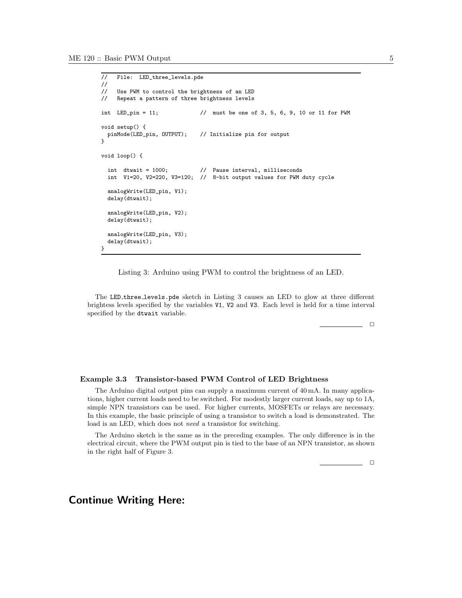```
// File: LED_three_levels.pde
//
// Use PWM to control the brightness of an LED<br>// Repeat a pattern of three brightness levels
     Repeat a pattern of three brightness levels
int LED_pin = 11; // must be one of 3, 5, 6, 9, 10 or 11 for PWM
void setup() {<br>pinMode(LED_pin, OUTPUT);
                                 // Initialize pin for output
}
void loop() {
  int dtwait = 1000; // Pause interval, milliseconds
  int V1=20, V2=220, V3=120; // 8-bit output values for PWM duty cycle
  analogWrite(LED_pin, V1);
  delay(dtwait);
  analogWrite(LED_pin, V2);
  delay(dtwait);
  analogWrite(LED_pin, V3);
  delay(dtwait);
}
```
Listing 3: Arduino using PWM to control the brightness of an LED.

The LED three levels.pde sketch in Listing 3 causes an LED to glow at three different brightess levels specified by the variables V1, V2 and V3. Each level is held for a time interval specified by the dtwait variable.

 $\Box$ 

#### Example 3.3 Transistor-based PWM Control of LED Brightness

The Arduino digital output pins can supply a maximum current of 40 mA. In many applications, higher current loads need to be switched. For modestly larger current loads, say up to 1A, simple NPN transistors can be used. For higher currents, MOSFETs or relays are necessary. In this example, the basic principle of using a transistor to switch a load is demonstrated. The load is an LED, which does not need a transistor for switching.

The Arduino sketch is the same as in the preceding examples. The only difference is in the electrical circuit, where the PWM output pin is tied to the base of an NPN transistor, as shown in the right half of Figure 3.

 $\Box$ 

## Continue Writing Here: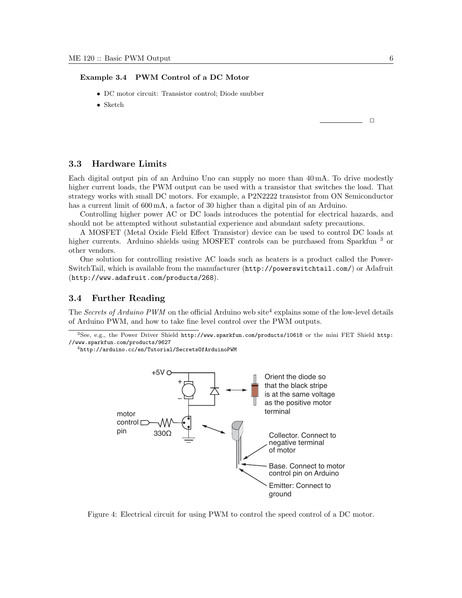### Example 3.4 PWM Control of a DC Motor

- DC motor circuit: Transistor control; Diode snubber
- Sketch

## 3.3 Hardware Limits

Each digital output pin of an Arduino Uno can supply no more than 40 mA. To drive modestly higher current loads, the PWM output can be used with a transistor that switches the load. That strategy works with small DC motors. For example, a P2N2222 transistor from ON Semiconductor has a current limit of  $600 \text{ mA}$ , a factor of 30 higher than a digital pin of an Arduino.

Controlling higher power AC or DC loads introduces the potential for electrical hazards, and should not be attempted without substantial experience and abundant safety precautions.

A MOSFET (Metal Oxide Field Effect Transistor) device can be used to control DC loads at higher currents. Arduino shields using MOSFET controls can be purchased from Sparkfun <sup>3</sup> or other vendors.

One solution for controlling resistive AC loads such as heaters is a product called the Power-SwitchTail, which is available from the manufacturer (http://powerswitchtail.com/) or Adafruit (http://www.adafruit.com/products/268).

### 3.4 Further Reading

The Secrets of Arduino PWM on the official Arduino web site<sup>4</sup> explains some of the low-level details of Arduino PWM, and how to take fine level control over the PWM outputs.

 ${}^{3}$ See, e.g., the Power Driver Shield http://www.sparkfun.com/products/10618 or the mini FET Shield http: //www.sparkfun.com/products/9627

 $^4$ http://arduino.cc/en/Tutorial/SecretsOfArduinoPWM



Figure 4: Electrical circuit for using PWM to control the speed control of a DC motor.

 $\Box$